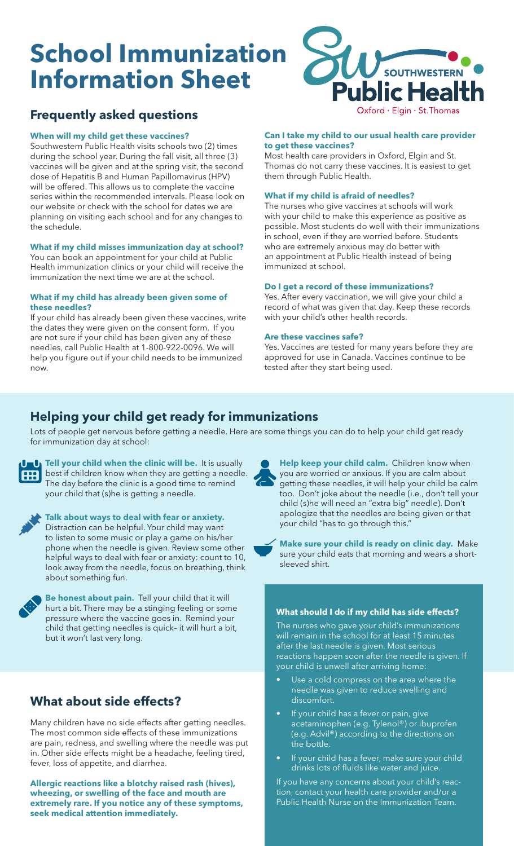# **School Immunization Information Sheet**



# **Frequently asked questions**

#### **When will my child get these vaccines?**

Southwestern Public Health visits schools two (2) times during the school year. During the fall visit, all three (3) vaccines will be given and at the spring visit, the second dose of Hepatitis B and Human Papillomavirus (HPV) will be offered. This allows us to complete the vaccine series within the recommended intervals. Please look on our website or check with the school for dates we are planning on visiting each school and for any changes to the schedule.

#### **What if my child misses immunization day at school?**

You can book an appointment for your child at Public Health immunization clinics or your child will receive the immunization the next time we are at the school.

#### **What if my child has already been given some of these needles?**

If your child has already been given these vaccines, write the dates they were given on the consent form. If you are not sure if your child has been given any of these needles, call Public Health at 1-800-922-0096. We will help you figure out if your child needs to be immunized now.

#### **Can I take my child to our usual health care provider to get these vaccines?**

Most health care providers in Oxford, Elgin and St. Thomas do not carry these vaccines. It is easiest to get them through Public Health.

#### **What if my child is afraid of needles?**

The nurses who give vaccines at schools will work with your child to make this experience as positive as possible. Most students do well with their immunizations in school, even if they are worried before. Students who are extremely anxious may do better with an appointment at Public Health instead of being immunized at school.

#### **Do I get a record of these immunizations?**

Yes. After every vaccination, we will give your child a record of what was given that day. Keep these records with your child's other health records.

#### **Are these vaccines safe?**

Yes. Vaccines are tested for many years before they are approved for use in Canada. Vaccines continue to be tested after they start being used.

## **Helping your child get ready for immunizations**

Lots of people get nervous before getting a needle. Here are some things you can do to help your child get ready for immunization day at school:



**Tell your child when the clinic will be.** It is usually best if children know when they are getting a needle. The day before the clinic is a good time to remind your child that (s)he is getting a needle.



**Talk about ways to deal with fear or anxiety.** Distraction can be helpful. Your child may want to listen to some music or play a game on his/her phone when the needle is given. Review some other helpful ways to deal with fear or anxiety: count to 10, look away from the needle, focus on breathing, think about something fun.



**Be honest about pain.** Tell your child that it will hurt a bit. There may be a stinging feeling or some pressure where the vaccine goes in. Remind your child that getting needles is quick– it will hurt a bit, but it won't last very long.

# **What about side effects?**

Many children have no side effects after getting needles. The most common side effects of these immunizations are pain, redness, and swelling where the needle was put in. Other side effects might be a headache, feeling tired, fever, loss of appetite, and diarrhea.

**Allergic reactions like a blotchy raised rash (hives), wheezing, or swelling of the face and mouth are extremely rare. If you notice any of these symptoms, seek medical attention immediately.**

**Help keep your child calm.** Children know when you are worried or anxious. If you are calm about getting these needles, it will help your child be calm too. Don't joke about the needle (i.e., don't tell your child (s)he will need an "extra big" needle). Don't apologize that the needles are being given or that your child "has to go through this."

**Make sure your child is ready on clinic day.** Make sure your child eats that morning and wears a shortsleeved shirt.

#### **What should I do if my child has side effects?**

The nurses who gave your child's immunizations will remain in the school for at least 15 minutes after the last needle is given. Most serious reactions happen soon after the needle is given. If your child is unwell after arriving home:

- Use a cold compress on the area where the needle was given to reduce swelling and discomfort.
- If your child has a fever or pain, give acetaminophen (e.g. Tylenol®) or ibuprofen (e.g. Advil®) according to the directions on the bottle.
- If your child has a fever, make sure your child drinks lots of fluids like water and juice.

If you have any concerns about your child's reaction, contact your health care provider and/or a Public Health Nurse on the Immunization Team.